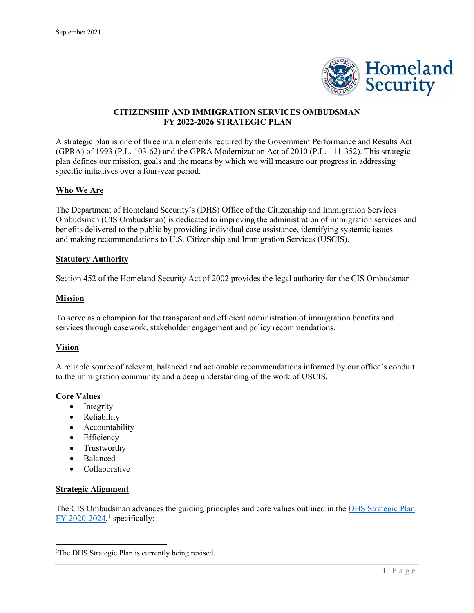

# **CITIZENSHIP AND IMMIGRATION SERVICES OMBUDSMAN FY 2022-2026 STRATEGIC PLAN**

A strategic plan is one of three main elements required by the Government Performance and Results Act (GPRA) of 1993 (P.L. 103-62) and the GPRA Modernization Act of 2010 (P.L. 111-352). This strategic plan defines our mission, goals and the means by which we will measure our progress in addressing specific initiatives over a four-year period.

### **Who We Are**

The Department of Homeland Security's (DHS) Office of the Citizenship and Immigration Services Ombudsman (CIS Ombudsman) is dedicated to improving the administration of immigration services and benefits delivered to the public by providing individual case assistance, identifying systemic issues and making recommendations to U.S. Citizenship and Immigration Services (USCIS).

### **Statutory Authority**

Section 452 of the Homeland Security Act of 2002 provides the legal authority for the CIS Ombudsman.

### **Mission**

To serve as a champion for the transparent and efficient administration of immigration benefits and services through casework, stakeholder engagement and policy recommendations.

#### **Vision**

A reliable source of relevant, balanced and actionable recommendations informed by our office's conduit to the immigration community and a deep understanding of the work of USCIS.

#### **Core Values**

- Integrity
- Reliability
- Accountability
- Efficiency
- Trustworthy
- Balanced
- Collaborative

#### **Strategic Alignment**

The CIS Ombudsman advances the guiding principles and core values outlined in the [DHS Strategic Plan](https://www.dhs.gov/publication/department-homeland-securitys-strategic-plan-fiscal-years-2020-2024)   $FY$  2020-2024,<sup>[1](#page-0-0)</sup> specifically:

<span id="page-0-0"></span><sup>&</sup>lt;sup>1</sup>The DHS Strategic Plan is currently being revised.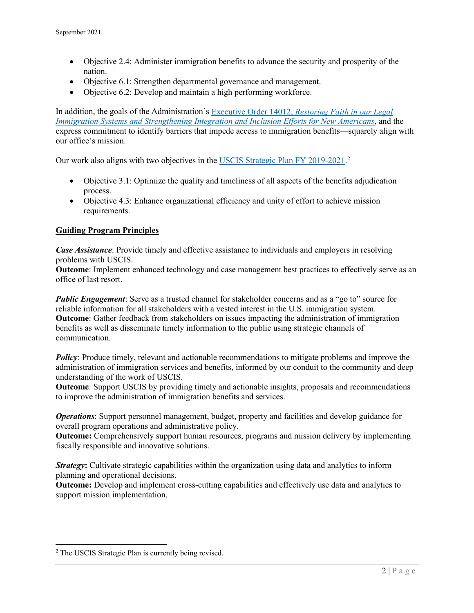- Objective 2.4: Administer immigration benefits to advance the security and prosperity of the nation.
- Objective 6.1: Strengthen departmental governance and management.
- Objective 6.2: Develop and maintain a high performing workforce.

In addition, the goals of the Administration's Executive Order 14012, *[Restoring Faith in our Legal](https://www.whitehouse.gov/briefing-room/presidential-actions/2021/02/02/executive-order-restoring-faith-in-our-legal-immigration-systems-and-strengthening-integration-and-inclusion-efforts-for-new-americans/)  [Immigration Systems and Strengthening Integration and Inclusion Efforts for New Americans](https://www.whitehouse.gov/briefing-room/presidential-actions/2021/02/02/executive-order-restoring-faith-in-our-legal-immigration-systems-and-strengthening-integration-and-inclusion-efforts-for-new-americans/)*, and the express commitment to identify barriers that impede access to immigration benefits—squarely align with our office's mission.

Our work also aligns with two objectives in the [USCIS Strategic Plan FY 2019-2021.](https://www.uscis.gov/sites/default/files/document/reports/USCIS_Strategic_Plan_2019-2021.pdf)<sup>[2](#page-1-0)</sup>

- Objective 3.1: Optimize the quality and timeliness of all aspects of the benefits adjudication process.
- Objective 4.3: Enhance organizational efficiency and unity of effort to achieve mission requirements.

## **Guiding Program Principles**

*Case Assistance*: Provide timely and effective assistance to individuals and employers in resolving problems with USCIS.

**Outcome**: Implement enhanced technology and case management best practices to effectively serve as an office of last resort.

*Public Engagement*: Serve as a trusted channel for stakeholder concerns and as a "go to" source for reliable information for all stakeholders with a vested interest in the U.S. immigration system. **Outcome**: Gather feedback from stakeholders on issues impacting the administration of immigration benefits as well as disseminate timely information to the public using strategic channels of communication.

*Policy*: Produce timely, relevant and actionable recommendations to mitigate problems and improve the administration of immigration services and benefits, informed by our conduit to the community and deep understanding of the work of USCIS.

**Outcome**: Support USCIS by providing timely and actionable insights, proposals and recommendations to improve the administration of immigration benefits and services.

*Operations*: Support personnel management, budget, property and facilities and develop guidance for overall program operations and administrative policy.

**Outcome:** Comprehensively support human resources, programs and mission delivery by implementing fiscally responsible and innovative solutions.

*Strategy*: Cultivate strategic capabilities within the organization using data and analytics to inform planning and operational decisions.

**Outcome:** Develop and implement cross-cutting capabilities and effectively use data and analytics to support mission implementation.

<span id="page-1-0"></span><sup>2</sup> The USCIS Strategic Plan is currently being revised.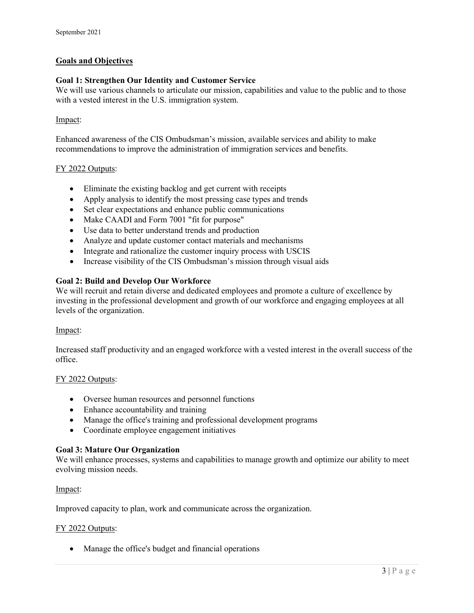# **Goals and Objectives**

### **Goal 1: Strengthen Our Identity and Customer Service**

We will use various channels to articulate our mission, capabilities and value to the public and to those with a vested interest in the U.S. immigration system.

### Impact:

Enhanced awareness of the CIS Ombudsman's mission, available services and ability to make recommendations to improve the administration of immigration services and benefits.

### FY 2022 Outputs:

- Eliminate the existing backlog and get current with receipts
- Apply analysis to identify the most pressing case types and trends
- Set clear expectations and enhance public communications
- Make CAADI and Form 7001 "fit for purpose"
- Use data to better understand trends and production
- Analyze and update customer contact materials and mechanisms
- Integrate and rationalize the customer inquiry process with USCIS
- Increase visibility of the CIS Ombudsman's mission through visual aids

### **Goal 2: Build and Develop Our Workforce**

We will recruit and retain diverse and dedicated employees and promote a culture of excellence by investing in the professional development and growth of our workforce and engaging employees at all levels of the organization.

#### Impact:

Increased staff productivity and an engaged workforce with a vested interest in the overall success of the office.

#### FY 2022 Outputs:

- Oversee human resources and personnel functions
- Enhance accountability and training
- Manage the office's training and professional development programs
- Coordinate employee engagement initiatives

#### **Goal 3: Mature Our Organization**

We will enhance processes, systems and capabilities to manage growth and optimize our ability to meet evolving mission needs.

#### Impact:

Improved capacity to plan, work and communicate across the organization.

#### FY 2022 Outputs:

• Manage the office's budget and financial operations